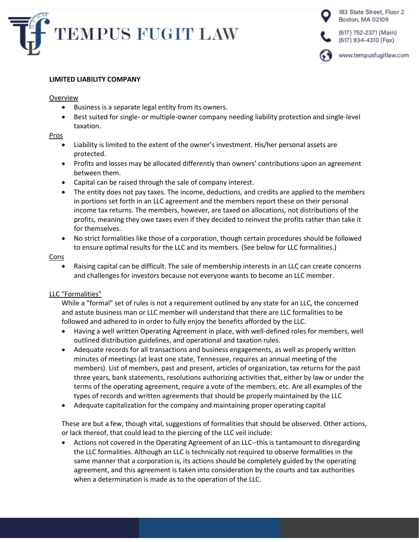



### **LIMITED LIABILITY COMPANY**

### Overview

- Business is a separate legal entity from its owners.
- Best suited for single- or multiple-owner company needing liability protection and single-level taxation.

## Pros

- Liability is limited to the extent of the owner's investment. His/her personal assets are protected.
- Profits and losses may be allocated differently than owners' contributions upon an agreement between them.
- Capital can be raised through the sale of company interest.
- The entity does not pay taxes. The income, deductions, and credits are applied to the members in portions set forth in an LLC agreement and the members report these on their personal income tax returns. The members, however, are taxed on allocations, not distributions of the profits, meaning they owe taxes even if they decided to reinvest the profits rather than take it for themselves.
- No strict formalities like those of a corporation, though certain procedures should be followed to ensure optimal results for the LLC and its members. (See below for LLC formalities.)

## Cons

• Raising capital can be difficult. The sale of membership interests in an LLC can create concerns and challenges for investors because not everyone wants to become an LLC member.

# LLC "Formalities"

While a "formal" set of rules is not a requirement outlined by any state for an LLC, the concerned and astute business man or LLC member will understand that there are LLC formalities to be followed and adhered to in order to fully enjoy the benefits afforded by the LLC.

- Having a well written Operating Agreement in place, with well-defined roles for members, well outlined distribution guidelines, and operational and taxation rules.
- Adequate records for all transactions and business engagements, as well as properly written minutes of meetings (at least one state, Tennessee, requires an annual meeting of the members). List of members, past and present, articles of organization, tax returns for the past three years, bank statements, resolutions authorizing activities that, either by law or under the terms of the operating agreement, require a vote of the members, etc. Are all examples of the types of records and written agreements that should be properly maintained by the LLC
- Adequate capitalization for the company and maintaining proper operating capital

These are but a few, though vital, suggestions of formalities that should be observed. Other actions, or lack thereof, that could lead to the piercing of the LLC veil include:

• Actions not covered in the Operating Agreement of an LLC--this is tantamount to disregarding the LLC formalities. Although an LLC is technically not required to observe formalities in the same manner that a corporation is, its actions should be completely guided by the operating agreement, and this agreement is taken into consideration by the courts and tax authorities when a determination is made as to the operation of the LLC.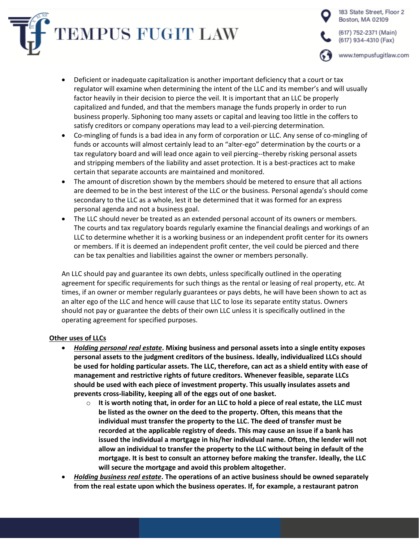



- Deficient or inadequate capitalization is another important deficiency that a court or tax regulator will examine when determining the intent of the LLC and its member's and will usually factor heavily in their decision to pierce the veil. It is important that an LLC be properly capitalized and funded, and that the members manage the funds properly in order to run business properly. Siphoning too many assets or capital and leaving too little in the coffers to satisfy creditors or company operations may lead to a veil-piercing determination.
- Co-mingling of funds is a bad idea in any form of corporation or LLC. Any sense of co-mingling of funds or accounts will almost certainly lead to an "alter-ego" determination by the courts or a tax regulatory board and will lead once again to veil piercing--thereby risking personal assets and stripping members of the liability and asset protection. It is a best-practices act to make certain that separate accounts are maintained and monitored.
- The amount of discretion shown by the members should be metered to ensure that all actions are deemed to be in the best interest of the LLC or the business. Personal agenda's should come secondary to the LLC as a whole, lest it be determined that it was formed for an express personal agenda and not a business goal.
- The LLC should never be treated as an extended personal account of its owners or members. The courts and tax regulatory boards regularly examine the financial dealings and workings of an LLC to determine whether it is a working business or an independent profit center for its owners or members. If it is deemed an independent profit center, the veil could be pierced and there can be tax penalties and liabilities against the owner or members personally.

An LLC should pay and guarantee its own debts, unless specifically outlined in the operating agreement for specific requirements for such things as the rental or leasing of real property, etc. At times, if an owner or member regularly guarantees or pays debts, he will have been shown to act as an alter ego of the LLC and hence will cause that LLC to lose its separate entity status. Owners should not pay or guarantee the debts of their own LLC unless it is specifically outlined in the operating agreement for specified purposes.

# **Other uses of LLCs**

- *Holding personal real estate***. Mixing business and personal assets into a single entity exposes personal assets to the judgment creditors of the business. Ideally, individualized LLCs should be used for holding particular assets. The LLC, therefore, can act as a shield entity with ease of management and restrictive rights of future creditors. Whenever feasible, separate LLCs should be used with each piece of investment property. This usually insulates assets and prevents cross-liability, keeping all of the eggs out of one basket.**
	- o **It is worth noting that, in order for an LLC to hold a piece of real estate, the LLC must be listed as the owner on the deed to the property. Often, this means that the individual must transfer the property to the LLC. The deed of transfer must be recorded at the applicable registry of deeds. This may cause an issue if a bank has issued the individual a mortgage in his/her individual name. Often, the lender will not allow an individual to transfer the property to the LLC without being in default of the mortgage. It is best to consult an attorney before making the transfer. Ideally, the LLC will secure the mortgage and avoid this problem altogether.**
- *Holding business real estate***. The operations of an active business should be owned separately from the real estate upon which the business operates. If, for example, a restaurant patron**